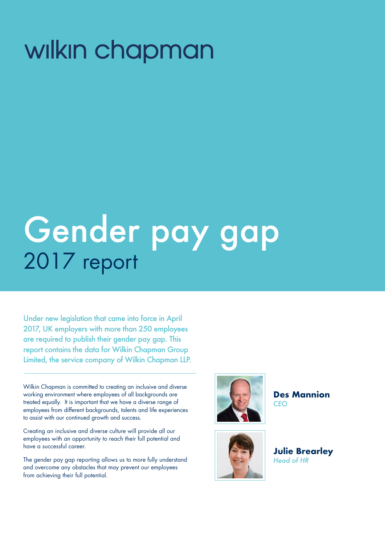## wilkin chapman

# Gender pay gap 2017 report

Under new legislation that came into force in April 2017, UK employers with more than 250 employees are required to publish their gender pay gap. This report contains the data for Wilkin Chapman Group Limited, the service company of Wilkin Chapman LLP.

Wilkin Chapman is committed to creating an inclusive and diverse working environment where employees of all backgrounds are treated equally. It is important that we have a diverse range of employees from different backgrounds, talents and life experiences to assist with our continued growth and success.

Creating an inclusive and diverse culture will provide all our employees with an opportunity to reach their full potential and have a successful career.

The gender pay gap reporting allows us to more fully understand and overcome any obstacles that may prevent our employees from achieving their full potential.



**Des Mannion** *CEO*



**Julie Brearley** *Head of HR*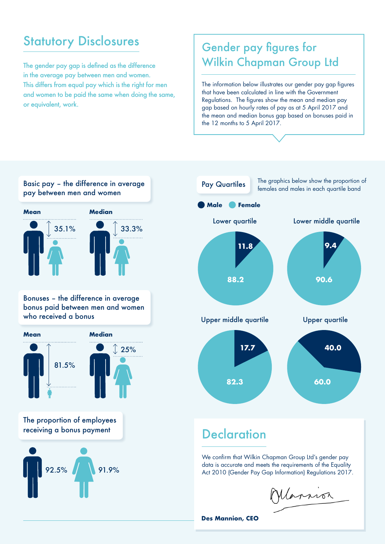### **Statutory Disclosures**

The gender pay gap is defined as the difference in the average pay between men and women. This differs from equal pay which is the right for men and women to be paid the same when doing the same, or equivalent, work.

#### Gender pay figures for Wilkin Chapman Group Ltd

The information below illustrates our gender pay gap figures that have been calculated in line with the Government Regulations. The figures show the mean and median pay gap based on hourly rates of pay as at 5 April 2017 and the mean and median bonus gap based on bonuses paid in the 12 months to 5 April 2017.





### **Declaration**

We confirm that Wilkin Chapman Group Ltd's gender pay data is accurate and meets the requirements of the Equality Act 2010 (Gender Pay Gap Information) Regulations 2017.

Marnor

**Des Mannion, CEO**